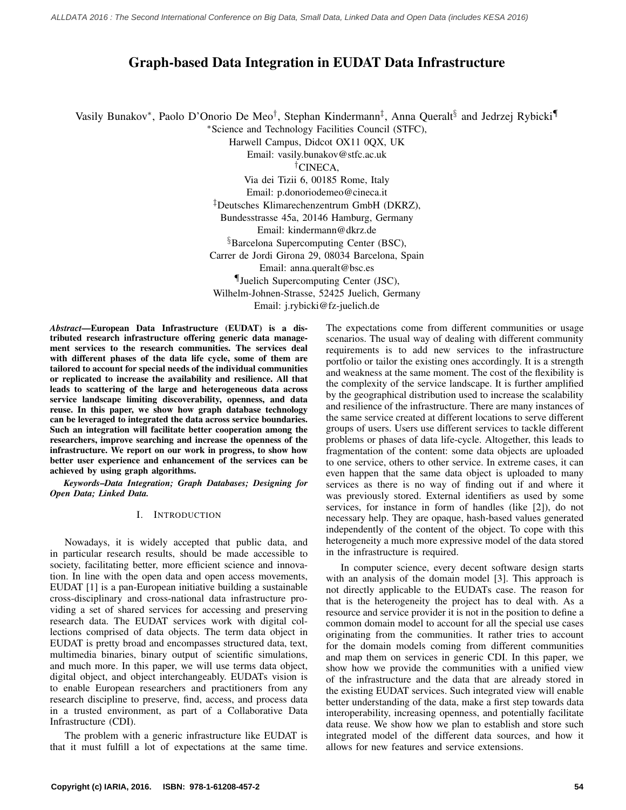# Graph-based Data Integration in EUDAT Data Infrastructure

Vasily Bunakov\*, Paolo D'Onorio De Meo<sup>†</sup>, Stephan Kindermann<sup>‡</sup>, Anna Queralt<sup>§</sup> and Jedrzej Rybicki¶ <sup>∗</sup>Science and Technology Facilities Council (STFC),

Harwell Campus, Didcot OX11 0QX, UK

Email: vasily.bunakov@stfc.ac.uk

†CINECA,

Via dei Tizii 6, 00185 Rome, Italy Email: p.donoriodemeo@cineca.it ‡Deutsches Klimarechenzentrum GmbH (DKRZ), Bundesstrasse 45a, 20146 Hamburg, Germany Email: kindermann@dkrz.de §Barcelona Supercomputing Center (BSC), Carrer de Jordi Girona 29, 08034 Barcelona, Spain Email: anna.queralt@bsc.es ¶Juelich Supercomputing Center (JSC), Wilhelm-Johnen-Strasse, 52425 Juelich, Germany Email: j.rybicki@fz-juelich.de

*Abstract*—European Data Infrastructure (EUDAT) is a distributed research infrastructure offering generic data management services to the research communities. The services deal with different phases of the data life cycle, some of them are tailored to account for special needs of the individual communities or replicated to increase the availability and resilience. All that leads to scattering of the large and heterogeneous data across service landscape limiting discoverability, openness, and data reuse. In this paper, we show how graph database technology can be leveraged to integrated the data across service boundaries. Such an integration will facilitate better cooperation among the researchers, improve searching and increase the openness of the infrastructure. We report on our work in progress, to show how better user experience and enhancement of the services can be achieved by using graph algorithms.

*Keywords*–*Data Integration; Graph Databases; Designing for Open Data; Linked Data.*

## I. INTRODUCTION

Nowadays, it is widely accepted that public data, and in particular research results, should be made accessible to society, facilitating better, more efficient science and innovation. In line with the open data and open access movements, EUDAT [1] is a pan-European initiative building a sustainable cross-disciplinary and cross-national data infrastructure providing a set of shared services for accessing and preserving research data. The EUDAT services work with digital collections comprised of data objects. The term data object in EUDAT is pretty broad and encompasses structured data, text, multimedia binaries, binary output of scientific simulations, and much more. In this paper, we will use terms data object, digital object, and object interchangeably. EUDATs vision is to enable European researchers and practitioners from any research discipline to preserve, find, access, and process data in a trusted environment, as part of a Collaborative Data Infrastructure (CDI).

The problem with a generic infrastructure like EUDAT is that it must fulfill a lot of expectations at the same time. The expectations come from different communities or usage scenarios. The usual way of dealing with different community requirements is to add new services to the infrastructure portfolio or tailor the existing ones accordingly. It is a strength and weakness at the same moment. The cost of the flexibility is the complexity of the service landscape. It is further amplified by the geographical distribution used to increase the scalability and resilience of the infrastructure. There are many instances of the same service created at different locations to serve different groups of users. Users use different services to tackle different problems or phases of data life-cycle. Altogether, this leads to fragmentation of the content: some data objects are uploaded to one service, others to other service. In extreme cases, it can even happen that the same data object is uploaded to many services as there is no way of finding out if and where it was previously stored. External identifiers as used by some services, for instance in form of handles (like [2]), do not necessary help. They are opaque, hash-based values generated independently of the content of the object. To cope with this heterogeneity a much more expressive model of the data stored in the infrastructure is required.

In computer science, every decent software design starts with an analysis of the domain model [3]. This approach is not directly applicable to the EUDATs case. The reason for that is the heterogeneity the project has to deal with. As a resource and service provider it is not in the position to define a common domain model to account for all the special use cases originating from the communities. It rather tries to account for the domain models coming from different communities and map them on services in generic CDI. In this paper, we show how we provide the communities with a unified view of the infrastructure and the data that are already stored in the existing EUDAT services. Such integrated view will enable better understanding of the data, make a first step towards data interoperability, increasing openness, and potentially facilitate data reuse. We show how we plan to establish and store such integrated model of the different data sources, and how it allows for new features and service extensions.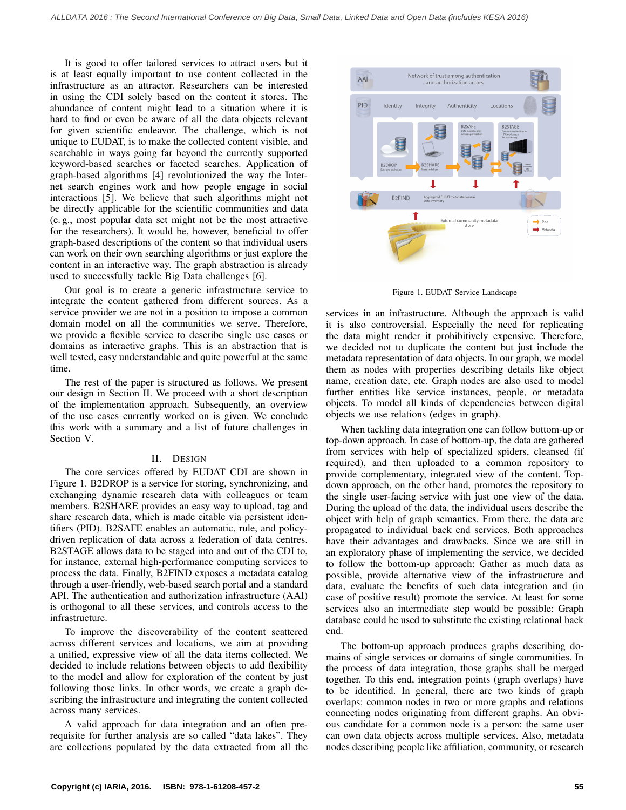It is good to offer tailored services to attract users but it is at least equally important to use content collected in the infrastructure as an attractor. Researchers can be interested in using the CDI solely based on the content it stores. The abundance of content might lead to a situation where it is hard to find or even be aware of all the data objects relevant for given scientific endeavor. The challenge, which is not unique to EUDAT, is to make the collected content visible, and searchable in ways going far beyond the currently supported keyword-based searches or faceted searches. Application of graph-based algorithms [4] revolutionized the way the Internet search engines work and how people engage in social interactions [5]. We believe that such algorithms might not be directly applicable for the scientific communities and data (e. g., most popular data set might not be the most attractive for the researchers). It would be, however, beneficial to offer graph-based descriptions of the content so that individual users can work on their own searching algorithms or just explore the content in an interactive way. The graph abstraction is already used to successfully tackle Big Data challenges [6].

Our goal is to create a generic infrastructure service to integrate the content gathered from different sources. As a service provider we are not in a position to impose a common domain model on all the communities we serve. Therefore, we provide a flexible service to describe single use cases or domains as interactive graphs. This is an abstraction that is well tested, easy understandable and quite powerful at the same time.

The rest of the paper is structured as follows. We present our design in Section II. We proceed with a short description of the implementation approach. Subsequently, an overview of the use cases currently worked on is given. We conclude this work with a summary and a list of future challenges in Section V.

#### II. DESIGN

The core services offered by EUDAT CDI are shown in Figure 1. B2DROP is a service for storing, synchronizing, and exchanging dynamic research data with colleagues or team members. B2SHARE provides an easy way to upload, tag and share research data, which is made citable via persistent identifiers (PID). B2SAFE enables an automatic, rule, and policydriven replication of data across a federation of data centres. B2STAGE allows data to be staged into and out of the CDI to, for instance, external high-performance computing services to process the data. Finally, B2FIND exposes a metadata catalog through a user-friendly, web-based search portal and a standard API. The authentication and authorization infrastructure (AAI) is orthogonal to all these services, and controls access to the infrastructure.

To improve the discoverability of the content scattered across different services and locations, we aim at providing a unified, expressive view of all the data items collected. We decided to include relations between objects to add flexibility to the model and allow for exploration of the content by just following those links. In other words, we create a graph describing the infrastructure and integrating the content collected across many services.

A valid approach for data integration and an often prerequisite for further analysis are so called "data lakes". They are collections populated by the data extracted from all the



Figure 1. EUDAT Service Landscape

services in an infrastructure. Although the approach is valid it is also controversial. Especially the need for replicating the data might render it prohibitively expensive. Therefore, we decided not to duplicate the content but just include the metadata representation of data objects. In our graph, we model them as nodes with properties describing details like object name, creation date, etc. Graph nodes are also used to model further entities like service instances, people, or metadata objects. To model all kinds of dependencies between digital objects we use relations (edges in graph).

When tackling data integration one can follow bottom-up or top-down approach. In case of bottom-up, the data are gathered from services with help of specialized spiders, cleansed (if required), and then uploaded to a common repository to provide complementary, integrated view of the content. Topdown approach, on the other hand, promotes the repository to the single user-facing service with just one view of the data. During the upload of the data, the individual users describe the object with help of graph semantics. From there, the data are propagated to individual back end services. Both approaches have their advantages and drawbacks. Since we are still in an exploratory phase of implementing the service, we decided to follow the bottom-up approach: Gather as much data as possible, provide alternative view of the infrastructure and data, evaluate the benefits of such data integration and (in case of positive result) promote the service. At least for some services also an intermediate step would be possible: Graph database could be used to substitute the existing relational back end.

The bottom-up approach produces graphs describing domains of single services or domains of single communities. In the process of data integration, those graphs shall be merged together. To this end, integration points (graph overlaps) have to be identified. In general, there are two kinds of graph overlaps: common nodes in two or more graphs and relations connecting nodes originating from different graphs. An obvious candidate for a common node is a person: the same user can own data objects across multiple services. Also, metadata nodes describing people like affiliation, community, or research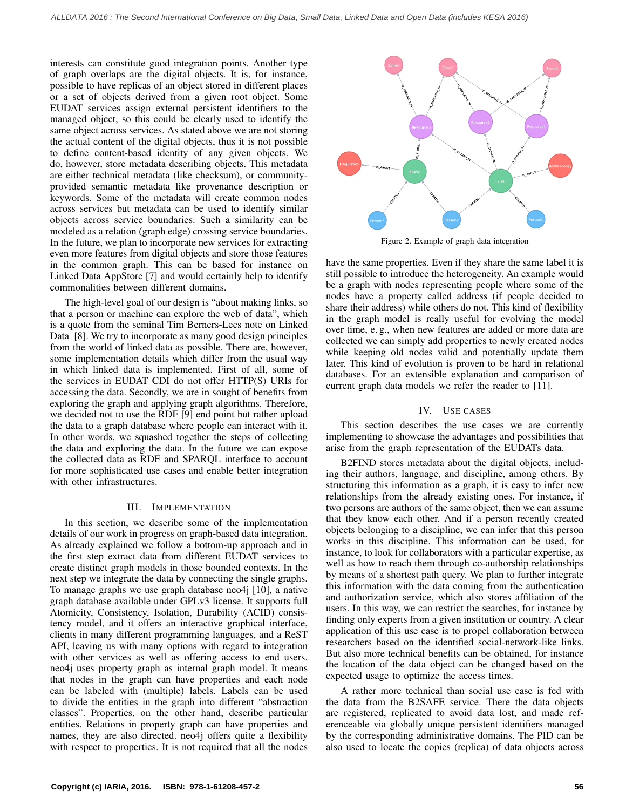interests can constitute good integration points. Another type of graph overlaps are the digital objects. It is, for instance, possible to have replicas of an object stored in different places or a set of objects derived from a given root object. Some EUDAT services assign external persistent identifiers to the managed object, so this could be clearly used to identify the same object across services. As stated above we are not storing the actual content of the digital objects, thus it is not possible to define content-based identity of any given objects. We do, however, store metadata describing objects. This metadata are either technical metadata (like checksum), or communityprovided semantic metadata like provenance description or keywords. Some of the metadata will create common nodes across services but metadata can be used to identify similar objects across service boundaries. Such a similarity can be modeled as a relation (graph edge) crossing service boundaries. In the future, we plan to incorporate new services for extracting even more features from digital objects and store those features in the common graph. This can be based for instance on Linked Data AppStore [7] and would certainly help to identify commonalities between different domains.

The high-level goal of our design is "about making links, so that a person or machine can explore the web of data", which is a quote from the seminal Tim Berners-Lees note on Linked Data [8]. We try to incorporate as many good design principles from the world of linked data as possible. There are, however, some implementation details which differ from the usual way in which linked data is implemented. First of all, some of the services in EUDAT CDI do not offer HTTP(S) URIs for accessing the data. Secondly, we are in sought of benefits from exploring the graph and applying graph algorithms. Therefore, we decided not to use the RDF [9] end point but rather upload the data to a graph database where people can interact with it. In other words, we squashed together the steps of collecting the data and exploring the data. In the future we can expose the collected data as RDF and SPARQL interface to account for more sophisticated use cases and enable better integration with other infrastructures.

### III. IMPLEMENTATION

In this section, we describe some of the implementation details of our work in progress on graph-based data integration. As already explained we follow a bottom-up approach and in the first step extract data from different EUDAT services to create distinct graph models in those bounded contexts. In the next step we integrate the data by connecting the single graphs. To manage graphs we use graph database neo4j [10], a native graph database available under GPLv3 license. It supports full Atomicity, Consistency, Isolation, Durability (ACID) consistency model, and it offers an interactive graphical interface, clients in many different programming languages, and a ReST API, leaving us with many options with regard to integration with other services as well as offering access to end users. neo4j uses property graph as internal graph model. It means that nodes in the graph can have properties and each node can be labeled with (multiple) labels. Labels can be used to divide the entities in the graph into different "abstraction classes". Properties, on the other hand, describe particular entities. Relations in property graph can have properties and names, they are also directed. neo4j offers quite a flexibility with respect to properties. It is not required that all the nodes



Figure 2. Example of graph data integration

have the same properties. Even if they share the same label it is still possible to introduce the heterogeneity. An example would be a graph with nodes representing people where some of the nodes have a property called address (if people decided to share their address) while others do not. This kind of flexibility in the graph model is really useful for evolving the model over time, e. g., when new features are added or more data are collected we can simply add properties to newly created nodes while keeping old nodes valid and potentially update them later. This kind of evolution is proven to be hard in relational databases. For an extensible explanation and comparison of current graph data models we refer the reader to [11].

#### IV. USE CASES

This section describes the use cases we are currently implementing to showcase the advantages and possibilities that arise from the graph representation of the EUDATs data.

B2FIND stores metadata about the digital objects, including their authors, language, and discipline, among others. By structuring this information as a graph, it is easy to infer new relationships from the already existing ones. For instance, if two persons are authors of the same object, then we can assume that they know each other. And if a person recently created objects belonging to a discipline, we can infer that this person works in this discipline. This information can be used, for instance, to look for collaborators with a particular expertise, as well as how to reach them through co-authorship relationships by means of a shortest path query. We plan to further integrate this information with the data coming from the authentication and authorization service, which also stores affiliation of the users. In this way, we can restrict the searches, for instance by finding only experts from a given institution or country. A clear application of this use case is to propel collaboration between researchers based on the identified social-network-like links. But also more technical benefits can be obtained, for instance the location of the data object can be changed based on the expected usage to optimize the access times.

A rather more technical than social use case is fed with the data from the B2SAFE service. There the data objects are registered, replicated to avoid data lost, and made referenceable via globally unique persistent identifiers managed by the corresponding administrative domains. The PID can be also used to locate the copies (replica) of data objects across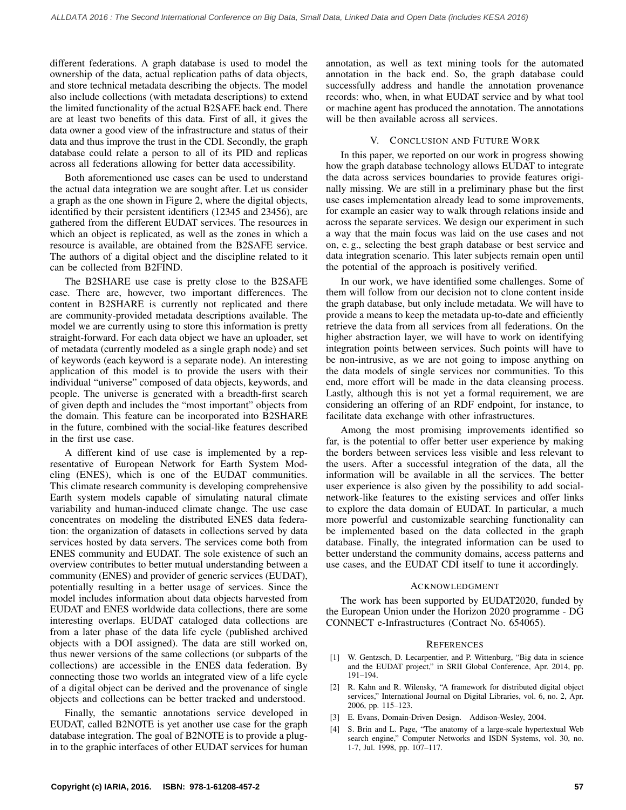different federations. A graph database is used to model the ownership of the data, actual replication paths of data objects, and store technical metadata describing the objects. The model also include collections (with metadata descriptions) to extend the limited functionality of the actual B2SAFE back end. There are at least two benefits of this data. First of all, it gives the data owner a good view of the infrastructure and status of their data and thus improve the trust in the CDI. Secondly, the graph database could relate a person to all of its PID and replicas across all federations allowing for better data accessibility.

Both aforementioned use cases can be used to understand the actual data integration we are sought after. Let us consider a graph as the one shown in Figure 2, where the digital objects, identified by their persistent identifiers (12345 and 23456), are gathered from the different EUDAT services. The resources in which an object is replicated, as well as the zones in which a resource is available, are obtained from the B2SAFE service. The authors of a digital object and the discipline related to it can be collected from B2FIND.

The B2SHARE use case is pretty close to the B2SAFE case. There are, however, two important differences. The content in B2SHARE is currently not replicated and there are community-provided metadata descriptions available. The model we are currently using to store this information is pretty straight-forward. For each data object we have an uploader, set of metadata (currently modeled as a single graph node) and set of keywords (each keyword is a separate node). An interesting application of this model is to provide the users with their individual "universe" composed of data objects, keywords, and people. The universe is generated with a breadth-first search of given depth and includes the "most important" objects from the domain. This feature can be incorporated into B2SHARE in the future, combined with the social-like features described in the first use case.

A different kind of use case is implemented by a representative of European Network for Earth System Modeling (ENES), which is one of the EUDAT communities. This climate research community is developing comprehensive Earth system models capable of simulating natural climate variability and human-induced climate change. The use case concentrates on modeling the distributed ENES data federation: the organization of datasets in collections served by data services hosted by data servers. The services come both from ENES community and EUDAT. The sole existence of such an overview contributes to better mutual understanding between a community (ENES) and provider of generic services (EUDAT), potentially resulting in a better usage of services. Since the model includes information about data objects harvested from EUDAT and ENES worldwide data collections, there are some interesting overlaps. EUDAT cataloged data collections are from a later phase of the data life cycle (published archived objects with a DOI assigned). The data are still worked on, thus newer versions of the same collections (or subparts of the collections) are accessible in the ENES data federation. By connecting those two worlds an integrated view of a life cycle of a digital object can be derived and the provenance of single objects and collections can be better tracked and understood.

Finally, the semantic annotations service developed in EUDAT, called B2NOTE is yet another use case for the graph database integration. The goal of B2NOTE is to provide a plugin to the graphic interfaces of other EUDAT services for human annotation, as well as text mining tools for the automated annotation in the back end. So, the graph database could successfully address and handle the annotation provenance records: who, when, in what EUDAT service and by what tool or machine agent has produced the annotation. The annotations will be then available across all services.

## V. CONCLUSION AND FUTURE WORK

In this paper, we reported on our work in progress showing how the graph database technology allows EUDAT to integrate the data across services boundaries to provide features originally missing. We are still in a preliminary phase but the first use cases implementation already lead to some improvements, for example an easier way to walk through relations inside and across the separate services. We design our experiment in such a way that the main focus was laid on the use cases and not on, e. g., selecting the best graph database or best service and data integration scenario. This later subjects remain open until the potential of the approach is positively verified.

In our work, we have identified some challenges. Some of them will follow from our decision not to clone content inside the graph database, but only include metadata. We will have to provide a means to keep the metadata up-to-date and efficiently retrieve the data from all services from all federations. On the higher abstraction layer, we will have to work on identifying integration points between services. Such points will have to be non-intrusive, as we are not going to impose anything on the data models of single services nor communities. To this end, more effort will be made in the data cleansing process. Lastly, although this is not yet a formal requirement, we are considering an offering of an RDF endpoint, for instance, to facilitate data exchange with other infrastructures.

Among the most promising improvements identified so far, is the potential to offer better user experience by making the borders between services less visible and less relevant to the users. After a successful integration of the data, all the information will be available in all the services. The better user experience is also given by the possibility to add socialnetwork-like features to the existing services and offer links to explore the data domain of EUDAT. In particular, a much more powerful and customizable searching functionality can be implemented based on the data collected in the graph database. Finally, the integrated information can be used to better understand the community domains, access patterns and use cases, and the EUDAT CDI itself to tune it accordingly.

#### ACKNOWLEDGMENT

The work has been supported by EUDAT2020, funded by the European Union under the Horizon 2020 programme - DG CONNECT e-Infrastructures (Contract No. 654065).

#### **REFERENCES**

- [1] W. Gentzsch, D. Lecarpentier, and P. Wittenburg, "Big data in science and the EUDAT project," in SRII Global Conference, Apr. 2014, pp. 191–194.
- [2] R. Kahn and R. Wilensky, "A framework for distributed digital object services," International Journal on Digital Libraries, vol. 6, no. 2, Apr. 2006, pp. 115–123.
- [3] E. Evans, Domain-Driven Design. Addison-Wesley, 2004.
- S. Brin and L. Page, "The anatomy of a large-scale hypertextual Web search engine," Computer Networks and ISDN Systems, vol. 30, no. 1-7, Jul. 1998, pp. 107–117.